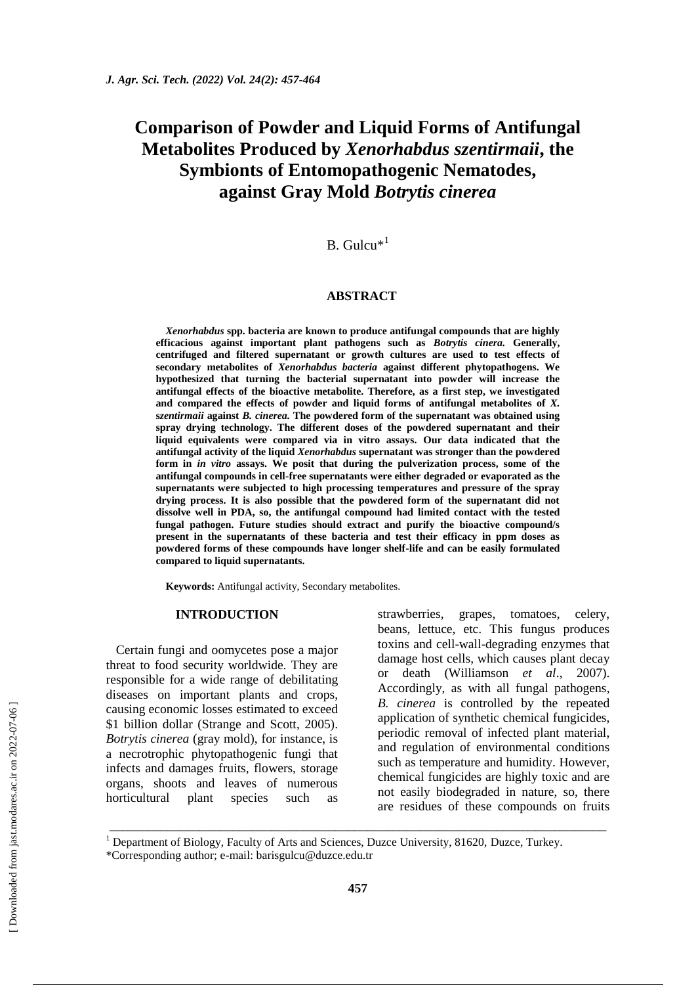# **Comparison of Powder and Liquid Forms of Antifungal Metabolites Produced by** *Xenorhabdus szentirmaii***, the Symbionts of Entomopathogenic Nematodes, against Gray Mold** *Botrytis cinerea*

## $B.$  Gulcu $*$ <sup>1</sup>

#### **ABSTRACT**

*Xenorhabdus* **spp. bacteria are known to produce antifungal compounds that are highly efficacious against important plant pathogens such as** *Botrytis cinera.* **Generally, centrifuged and filtered supernatant or growth cultures are used to test effects of secondary metabolites of** *Xenorhabdus bacteria* **against different phytopathogens. We hypothesized that turning the bacterial supernatant into powder will increase the antifungal effects of the bioactive metabolite. Therefore, as a first step, we investigated and compared the effects of powder and liquid forms of antifungal metabolites of** *X.* **s***zentirmaii* **against** *B. cinerea.* **The powdered form of the supernatant was obtained using spray drying technology. The different doses of the powdered supernatant and their liquid equivalents were compared via in vitro assays. Our data indicated that the antifungal activity of the liquid** *Xenorhabdus* **supernatant was stronger than the powdered form in** *in vitro* **assays. We posit that during the pulverization process, some of the antifungal compounds in cell-free supernatants were either degraded or evaporated as the supernatants were subjected to high processing temperatures and pressure of the spray drying process. It is also possible that the powdered form of the supernatant did not dissolve well in PDA, so, the antifungal compound had limited contact with the tested fungal pathogen. Future studies should extract and purify the bioactive compound/s present in the supernatants of these bacteria and test their efficacy in ppm doses as powdered forms of these compounds have longer shelf-life and can be easily formulated compared to liquid supernatants.**

**Keywords:** Antifungal activity, Secondary metabolites.

#### **INTRODUCTION**

Certain fungi and oomycetes pose a major threat to food security worldwide. They are responsible for a wide range of debilitating diseases on important plants and crops, causing economic losses estimated to exceed \$1 billion dollar (Strange and Scott, 2005). *Botrytis cinerea* (gray mold), for instance, is a necrotrophic phytopathogenic fungi that infects and damages fruits, flowers, storage organs, shoots and leaves of numerous horticultural plant species such as

strawberries, grapes, tomatoes, celery, beans, lettuce, etc. This fungus produces toxins and cell-wall-degrading enzymes that damage host cells, which causes plant decay or death (Williamson *et al*., 2007). Accordingly, as with all fungal pathogens, *B. cinerea* is controlled by the repeated application of synthetic chemical fungicides, periodic removal of infected plant material, and regulation of environmental conditions such as temperature and humidity. However, chemical fungicides are highly toxic and are not easily biodegraded in nature, so, there are residues of these compounds on fruits

 $1$  Department of Biology, Faculty of Arts and Sciences, Duzce University, 81620, Duzce, Turkey.

\_\_\_\_\_\_\_\_\_\_\_\_\_\_\_\_\_\_\_\_\_\_\_\_\_\_\_\_\_\_\_\_\_\_\_\_\_\_\_\_\_\_\_\_\_\_\_\_\_\_\_\_\_\_\_\_\_\_\_\_\_\_\_\_\_\_\_\_\_\_\_\_\_\_\_\_\_

<sup>\*</sup>Corresponding author; e-mail: [barisgulcu@duzce.edu.tr](mailto:barisgulcu@duzce.edu.tr)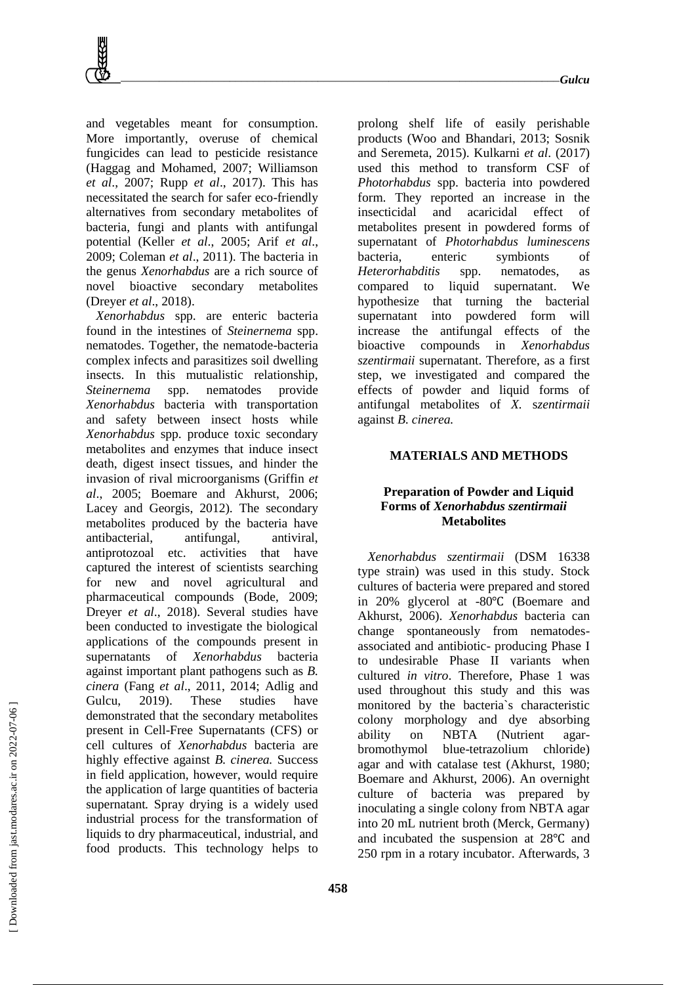and vegetables meant for consumption. More importantly, overuse of chemical fungicides can lead to pesticide resistance (Haggag and Mohamed, 2007; Williamson *et al*., 2007; Rupp *et al*., 2017). This has necessitated the search for safer eco-friendly alternatives from secondary metabolites of bacteria, fungi and plants with antifungal potential (Keller *et al*., 2005; Arif *et al*., 2009; Coleman *et al*., 2011). The bacteria in the genus *Xenorhabdus* are a rich source of novel bioactive secondary metabolites (Dreyer *et al*., 2018).

*Xenorhabdus* spp. are enteric bacteria found in the intestines of *Steinernema* spp. nematodes. Together, the nematode-bacteria complex infects and parasitizes soil dwelling insects. In this mutualistic relationship, *Steinernema* spp. nematodes provide *Xenorhabdus* bacteria with transportation and safety between insect hosts while *Xenorhabdus* spp. produce toxic secondary metabolites and enzymes that induce insect death, digest insect tissues, and hinder the invasion of rival microorganisms (Griffin *et al*., 2005; Boemare and Akhurst, 2006; Lacey and Georgis, 2012). The secondary metabolites produced by the bacteria have antibacterial, antifungal, antiviral, antiprotozoal etc. activities that have captured the interest of scientists searching for new and novel agricultural and pharmaceutical compounds (Bode, 2009; Dreyer *et al*., 2018). Several studies have been conducted to investigate the biological applications of the compounds present in supernatants of *Xenorhabdus* bacteria against important plant pathogens such as *B. cinera* (Fang *et al*., 2011, 2014; Adlig and Gulcu, 2019). These studies have demonstrated that the secondary metabolites present in Cell-Free Supernatants (CFS) or cell cultures of *Xenorhabdus* bacteria are highly effective against *B. cinerea.* Success in field application, however, would require the application of large quantities of bacteria supernatant*.* Spray drying is a widely used industrial process for the transformation of liquids to dry pharmaceutical, industrial, and food products. This technology helps to

prolong shelf life of easily perishable products (Woo and Bhandari, 2013; Sosnik and Seremeta, 2015). Kulkarni *et al*. (2017) used this method to transform CSF of *Photorhabdus* spp. bacteria into powdered form. They reported an increase in the insecticidal and acaricidal effect of metabolites present in powdered forms of supernatant of *Photorhabdus luminescens* bacteria, enteric symbionts of *Heterorhabditis* spp. nematodes, as compared to liquid supernatant. We hypothesize that turning the bacterial supernatant into powdered form will increase the antifungal effects of the bioactive compounds in *Xenorhabdus szentirmaii* supernatant. Therefore, as a first step, we investigated and compared the effects of powder and liquid forms of antifungal metabolites of *X.* s*zentirmaii*  against *B. cinerea.*

#### **MATERIALS AND METHODS**

## **Preparation of Powder and Liquid Forms of** *Xenorhabdus szentirmaii* **Metabolites**

*Xenorhabdus szentirmaii* (DSM 16338 type strain) was used in this study. Stock cultures of bacteria were prepared and stored in 20% glycerol at -80℃ (Boemare and Akhurst, 2006). *Xenorhabdus* bacteria can change spontaneously from nematodesassociated and antibiotic- producing Phase I to undesirable Phase II variants when cultured *in vitro*. Therefore, Phase 1 was used throughout this study and this was monitored by the bacteria`s characteristic colony morphology and dye absorbing ability on NBTA (Nutrient agarbromothymol blue-tetrazolium chloride) agar and with catalase test (Akhurst, 1980; Boemare and Akhurst, 2006). An overnight culture of bacteria was prepared by inoculating a single colony from NBTA agar into 20 mL nutrient broth (Merck, Germany) and incubated the suspension at 28℃ and 250 rpm in a rotary incubator. Afterwards, 3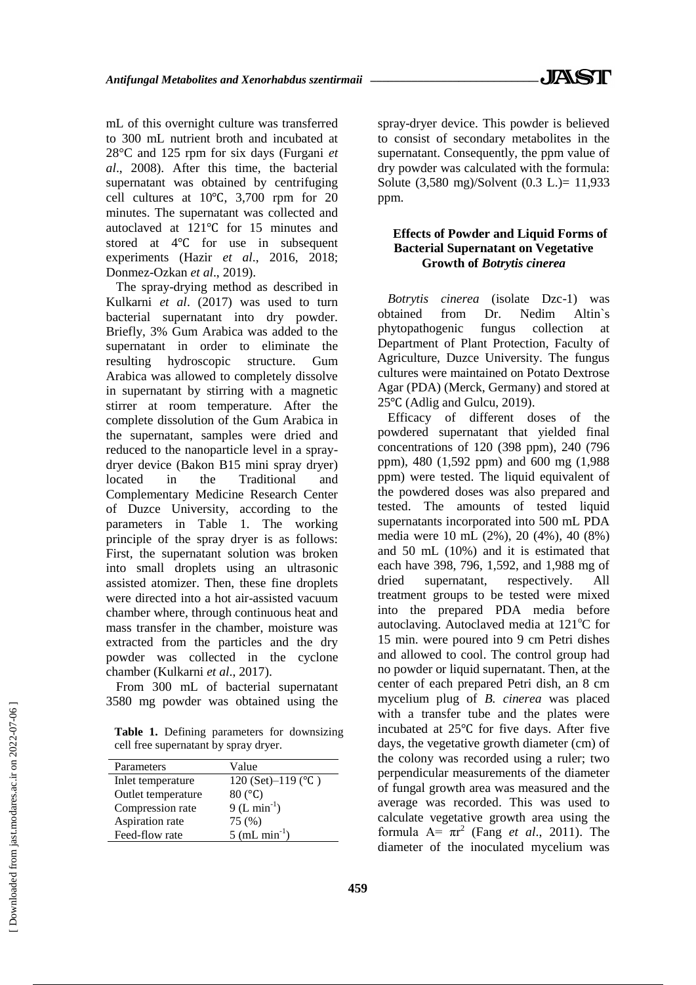mL of this overnight culture was transferred to 300 mL nutrient broth and incubated at 28°C and 125 rpm for six days (Furgani *et al*., 2008). After this time, the bacterial supernatant was obtained by centrifuging cell cultures at 10℃, 3,700 rpm for 20 minutes. The supernatant was collected and autoclaved at 121℃ for 15 minutes and stored at 4℃ for use in subsequent experiments (Hazir *et al*., 2016, 2018; Donmez-Ozkan *et al*., 2019).

The spray-drying method as described in Kulkarni *et al*. (2017) was used to turn bacterial supernatant into dry powder. Briefly, 3% Gum Arabica was added to the supernatant in order to eliminate the resulting hydroscopic structure. Gum Arabica was allowed to completely dissolve in supernatant by stirring with a magnetic stirrer at room temperature. After the complete dissolution of the Gum Arabica in the supernatant, samples were dried and reduced to the nanoparticle level in a spraydryer device (Bakon B15 mini spray dryer) located in the Traditional and Complementary Medicine Research Center of Duzce University, according to the parameters in Table 1. The working principle of the spray dryer is as follows: First, the supernatant solution was broken into small droplets using an ultrasonic assisted atomizer. Then, these fine droplets were directed into a hot air-assisted vacuum chamber where, through continuous heat and mass transfer in the chamber, moisture was extracted from the particles and the dry powder was collected in the cyclone chamber (Kulkarni *et al*., 2017).

From 300 mL of bacterial supernatant 3580 mg powder was obtained using the

**Table 1.** Defining parameters for downsizing cell free supernatant by spray dryer.

| Parameters         | Value                         |
|--------------------|-------------------------------|
| Inlet temperature  | 120 (Set)-119 ( $^{\circ}$ C) |
| Outlet temperature | $80(^{\circ}C)$               |
| Compression rate   | $9(L \text{ min}^{-1})$       |
| Aspiration rate    | 75 (%)                        |
| Feed-flow rate     | $5$ (mL min <sup>-1</sup> )   |

spray-dryer device. This powder is believed to consist of secondary metabolites in the supernatant. Consequently, the ppm value of dry powder was calculated with the formula: Solute (3,580 mg)/Solvent (0.3 L.)= 11,933 ppm.

## **Effects of Powder and Liquid Forms of Bacterial Supernatant on Vegetative Growth of** *Botrytis cinerea*

*Botrytis cinerea* (isolate Dzc-1) was obtained from Dr. Nedim Altin`s phytopathogenic fungus collection at Department of Plant Protection, Faculty of Agriculture, Duzce University. The fungus cultures were maintained on Potato Dextrose Agar (PDA) (Merck, Germany) and stored at 25℃ (Adlig and Gulcu, 2019).

Efficacy of different doses of the powdered supernatant that yielded final concentrations of 120 (398 ppm), 240 (796 ppm), 480 (1,592 ppm) and 600 mg (1,988 ppm) were tested. The liquid equivalent of the powdered doses was also prepared and tested. The amounts of tested liquid supernatants incorporated into 500 mL PDA media were 10 mL (2%), 20 (4%), 40 (8%) and 50 mL (10%) and it is estimated that each have 398, 796, 1,592, and 1,988 mg of dried supernatant, respectively. All treatment groups to be tested were mixed into the prepared PDA media before autoclaving. Autoclaved media at  $121^{\circ}$ C for 15 min. were poured into 9 cm Petri dishes and allowed to cool. The control group had no powder or liquid supernatant. Then, at the center of each prepared Petri dish, an 8 cm mycelium plug of *B. cinerea* was placed with a transfer tube and the plates were incubated at 25℃ for five days. After five days, the vegetative growth diameter (cm) of the colony was recorded using a ruler; two perpendicular measurements of the diameter of fungal growth area was measured and the average was recorded. This was used to calculate vegetative growth area using the formula  $A = \pi r^2$  (Fang *et al.*, 2011). The diameter of the inoculated mycelium was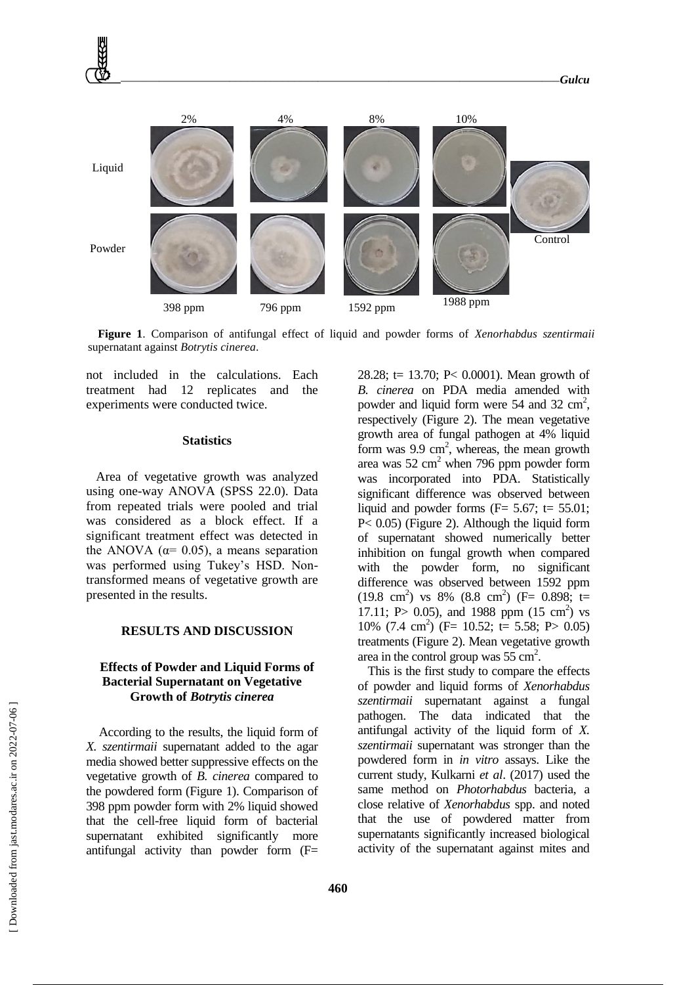

**Figure 1**. Comparison of antifungal effect of liquid and powder forms of *Xenorhabdus szentirmaii* supernatant against *Botrytis cinerea*.

not included in the calculations. Each treatment had 12 replicates and the experiments were conducted twice.

#### **Statistics**

Area of vegetative growth was analyzed using one-way ANOVA (SPSS 22.0). Data from repeated trials were pooled and trial was considered as a block effect. If a significant treatment effect was detected in the ANOVA ( $\alpha$ = 0.05), a means separation was performed using Tukey's HSD. Nontransformed means of vegetative growth are presented in the results.

#### **RESULTS AND DISCUSSION**

### **Effects of Powder and Liquid Forms of Bacterial Supernatant on Vegetative Growth of** *Botrytis cinerea*

According to the results, the liquid form of *X. szentirmaii* supernatant added to the agar media showed better suppressive effects on the vegetative growth of *B. cinerea* compared to the powdered form (Figure 1). Comparison of 398 ppm powder form with 2% liquid showed that the cell-free liquid form of bacterial supernatant exhibited significantly more antifungal activity than powder form (F=

28.28; t= 13.70; P< 0.0001). Mean growth of *B. cinerea* on PDA media amended with powder and liquid form were  $54$  and  $32 \text{ cm}^2$ , respectively (Figure 2). The mean vegetative growth area of fungal pathogen at 4% liquid form was  $9.9 \text{ cm}^2$ , whereas, the mean growth area was  $52 \text{ cm}^2$  when 796 ppm powder form was incorporated into PDA. Statistically significant difference was observed between liquid and powder forms ( $F = 5.67$ ; t= 55.01; P< 0.05) (Figure 2). Although the liquid form of supernatant showed numerically better inhibition on fungal growth when compared with the powder form, no significant difference was observed between 1592 ppm  $(19.8 \text{ cm}^2)$  vs 8%  $(8.8 \text{ cm}^2)$  (F= 0.898; t= 17.11; P > 0.05), and 1988 ppm  $(15 \text{ cm}^2)$  vs 10% (7.4 cm<sup>2</sup>) (F= 10.52; t= 5.58; P> 0.05) treatments (Figure 2). Mean vegetative growth area in the control group was  $55 \text{ cm}^2$ .

This is the first study to compare the effects of powder and liquid forms of *Xenorhabdus szentirmaii* supernatant against a fungal pathogen. The data indicated that the antifungal activity of the liquid form of *X. szentirmaii* supernatant was stronger than the powdered form in *in vitro* assays. Like the current study, Kulkarni *et al*. (2017) used the same method on *Photorhabdus* bacteria, a close relative of *Xenorhabdus* spp. and noted that the use of powdered matter from supernatants significantly increased biological activity of the supernatant against mites and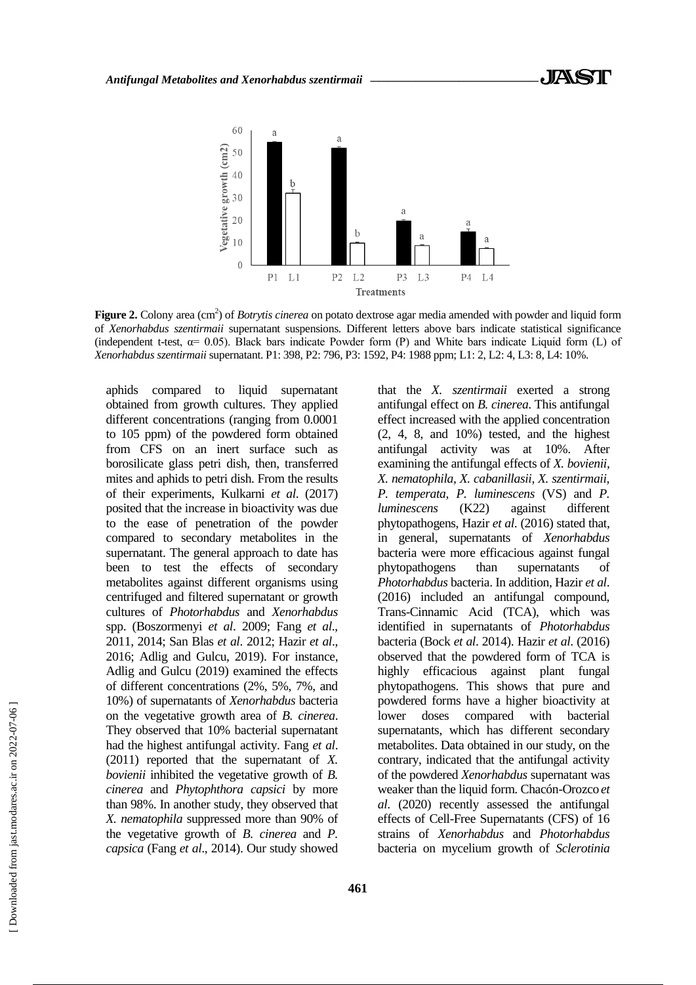

Figure 2. Colony area (cm<sup>2</sup>) of *Botrytis cinerea* on potato dextrose agar media amended with powder and liquid form of *Xenorhabdus szentirmaii* supernatant suspensions. Different letters above bars indicate statistical significance (independent t-test,  $\alpha$  = 0.05). Black bars indicate Powder form (P) and White bars indicate Liquid form (L) of *Xenorhabdus szentirmaii* supernatant. P1: 398, P2: 796, P3: 1592, P4: 1988 ppm; L1: 2, L2: 4, L3: 8, L4: 10%.

aphids compared to liquid supernatant obtained from growth cultures. They applied different concentrations (ranging from 0.0001 to 105 ppm) of the powdered form obtained from CFS on an inert surface such as borosilicate glass petri dish, then, transferred mites and aphids to petri dish. From the results of their experiments, Kulkarni *et al*. (2017) posited that the increase in bioactivity was due to the ease of penetration of the powder compared to secondary metabolites in the supernatant. The general approach to date has been to test the effects of secondary metabolites against different organisms using centrifuged and filtered supernatant or growth cultures of *Photorhabdus* and *Xenorhabdus* spp. (Boszormenyi *et al*. 2009; Fang *et al*., 2011, 2014; San Blas *et al*. 2012; Hazir *et al*., 2016; Adlig and Gulcu, 2019). For instance, Adlig and Gulcu (2019) examined the effects of different concentrations (2%, 5%, 7%, and 10%) of supernatants of *Xenorhabdus* bacteria on the vegetative growth area of *B. cinerea*. They observed that 10% bacterial supernatant had the highest antifungal activity. Fang *et al*. (2011) reported that the supernatant of *X. bovienii* inhibited the vegetative growth of *B. cinerea* and *Phytophthora capsici* by more than 98%. In another study, they observed that *X. nematophila* suppressed more than 90% of the vegetative growth of *B. cinerea* and *P. capsica* (Fang *et al*., 2014). Our study showed that the *X. szentirmaii* exerted a strong antifungal effect on *B. cinerea*. This antifungal effect increased with the applied concentration (2, 4, 8, and 10%) tested, and the highest antifungal activity was at 10%. After examining the antifungal effects of *X. bovienii, X. nematophila, X. cabanillasii, X. szentirmaii, P. temperata, P. luminescens* (VS) and *P. luminescens* (K22) against different phytopathogens, Hazir *et al*. (2016) stated that, in general, supernatants of *Xenorhabdus* bacteria were more efficacious against fungal phytopathogens than supernatants *Photorhabdus* bacteria. In addition, Hazir *et al*. (2016) included an antifungal compound, Trans-Cinnamic Acid (TCA), which was identified in supernatants of *Photorhabdus* bacteria (Bock *et al*. 2014). Hazir *et al*. (2016) observed that the powdered form of TCA is highly efficacious against plant fungal phytopathogens. This shows that pure and powdered forms have a higher bioactivity at lower doses compared with bacterial supernatants, which has different secondary metabolites. Data obtained in our study, on the contrary, indicated that the antifungal activity of the powdered *Xenorhabdus* supernatant was weaker than the liquid form. Chacón-Orozco *et al*. (2020) recently assessed the antifungal effects of Cell-Free Supernatants (CFS) of 16 strains of *Xenorhabdus* and *Photorhabdus* bacteria on mycelium growth of *Sclerotinia*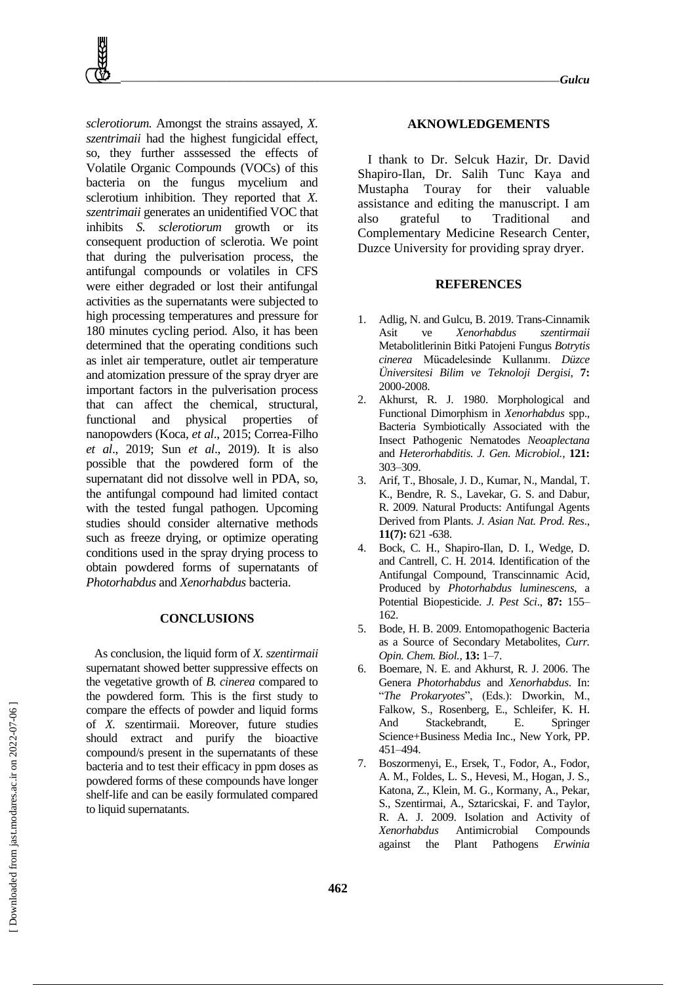*sclerotiorum.* Amongst the strains assayed*, X. szentrimaii* had the highest fungicidal effect, so, they further asssessed the effects of Volatile Organic Compounds (VOCs) of this bacteria on the fungus mycelium and sclerotium inhibition. They reported that *X. szentrimaii* generates an unidentified VOC that inhibits *S. sclerotiorum* growth or its consequent production of sclerotia. We point that during the pulverisation process, the antifungal compounds or volatiles in CFS were either degraded or lost their antifungal activities as the supernatants were subjected to high processing temperatures and pressure for 180 minutes cycling period. Also, it has been determined that the operating conditions such as inlet air temperature, outlet air temperature and atomization pressure of the spray dryer are important factors in the pulverisation process that can affect the chemical, structural, functional and physical properties of nanopowders (Koca, *et al*., 2015; Correa-Filho *et al*., 2019; Sun *et al*., 2019). It is also possible that the powdered form of the supernatant did not dissolve well in PDA, so, the antifungal compound had limited contact with the tested fungal pathogen. Upcoming studies should consider alternative methods such as freeze drying, or optimize operating conditions used in the spray drying process to obtain powdered forms of supernatants of *Photorhabdus* and *Xenorhabdus* bacteria.

#### **CONCLUSIONS**

As conclusion, the liquid form of *X. szentirmaii* supernatant showed better suppressive effects on the vegetative growth of *B. cinerea* compared to the powdered form. This is the first study to compare the effects of powder and liquid forms of *X.* szentirmaii. Moreover, future studies should extract and purify the bioactive compound/s present in the supernatants of these bacteria and to test their efficacy in ppm doses as powdered forms of these compounds have longer shelf-life and can be easily formulated compared to liquid supernatants.

#### **AKNOWLEDGEMENTS**

I thank to Dr. Selcuk Hazir, Dr. David Shapiro-Ilan, Dr. Salih Tunc Kaya and Mustapha Touray for their valuable assistance and editing the manuscript. I am also grateful to Traditional and Complementary Medicine Research Center, Duzce University for providing spray dryer.

#### **REFERENCES**

- 1. Adlig, N. and Gulcu, B. 2019. Trans-Cinnamik Asit ve *Xenorhabdus szentirmaii* Metabolitlerinin Bitki Patojeni Fungus *Botrytis cinerea* Mücadelesinde Kullanımı. *Düzce Üniversitesi Bilim ve Teknoloji Dergisi*, **7:** 2000-2008.
- 2. Akhurst, R. J. 1980. Morphological and Functional Dimorphism in *Xenorhabdus* spp., Bacteria Symbiotically Associated with the Insect Pathogenic Nematodes *Neoaplectana* and *Heterorhabditis*. *J. Gen. Microbiol.*, **121:** 303–309.
- 3. Arif, T., Bhosale, J. D., Kumar, N., Mandal, T. K., Bendre, R. S., Lavekar, G. S. and Dabur, R. 2009. Natural Products: Antifungal Agents Derived from Plants. *J. Asian Nat. Prod. Res*., **11(7):** 621 -638.
- 4. Bock, C. H., Shapiro-Ilan, D. I., Wedge, D. and Cantrell, C. H. 2014. Identification of the Antifungal Compound, Transcinnamic Acid, Produced by *Photorhabdus luminescens*, a Potential Biopesticide. *J. Pest Sci*., **87:** 155– 162.
- 5. Bode, H. B. 2009. Entomopathogenic Bacteria as a Source of Secondary Metabolites, *Curr. Opin. Chem. Biol.*, **13:** 1–7.
- 6. Boemare, N. E. and Akhurst, R. J. 2006. The Genera *Photorhabdus* and *Xenorhabdus*. In: "*The Prokaryotes*", (Eds.): Dworkin, M., Falkow, S., Rosenberg, E., Schleifer, K. H. And Stackebrandt, E. Springer Science+Business Media Inc., New York, PP. 451–494.
- 7. Boszormenyi, E., Ersek, T., Fodor, A., Fodor, A. M., Foldes, L. S., Hevesi, M., Hogan, J. S., Katona, Z., Klein, M. G., Kormany, A., Pekar, S., Szentirmai, A., Sztaricskai, F. and Taylor, R. A. J. 2009. Isolation and Activity of *Xenorhabdus* Antimicrobial Compounds against the Plant Pathogens *Erwinia*

 [\[ Downloaded from jast.modares.ac.ir on 2](https://jast.modares.ac.ir/article-23-46455-en.html)022-07-06 ] Downloaded from jast.modares.ac.ir on 2022-07-06]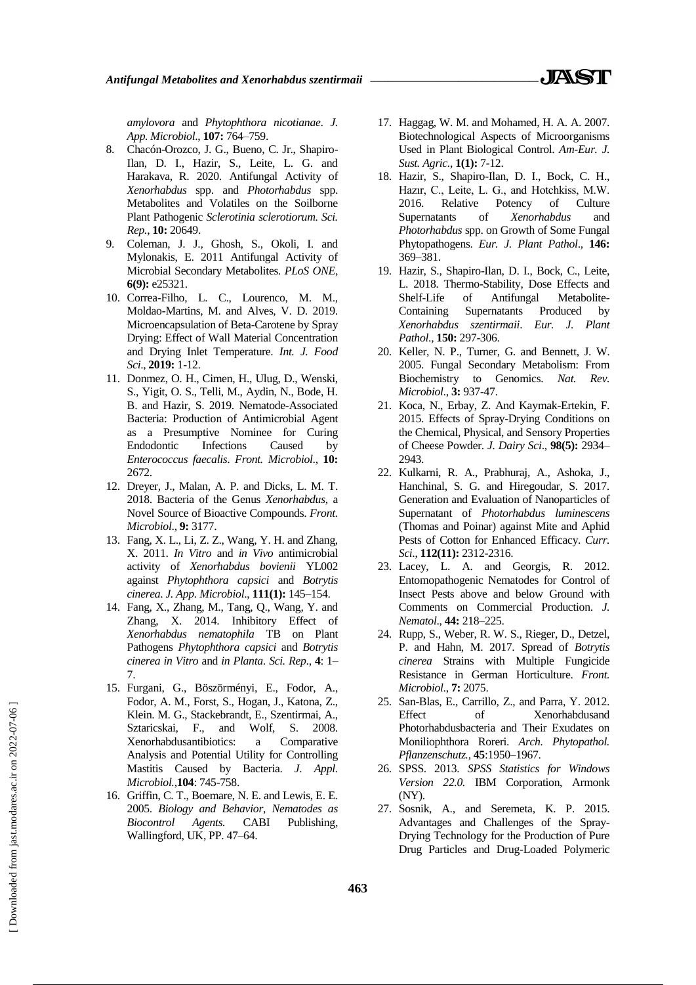*amylovora* and *Phytophthora nicotianae*. *J. App. Microbiol*., **107:** 764–759.

- 8. Chacón-Orozco, J. G., Bueno, C. Jr., Shapiro-Ilan, D. I., Hazir, S., Leite, L. G. and Harakava, R. 2020. Antifungal Activity of *Xenorhabdus* spp. and *Photorhabdus* spp. Metabolites and Volatiles on the Soilborne Plant Pathogenic *Sclerotinia sclerotiorum. Sci. Rep.*, **10:** 20649.
- 9. Coleman, J. J., Ghosh, S., Okoli, I. and Mylonakis, E. 2011 Antifungal Activity of Microbial Secondary Metabolites. *PLoS ONE,* **6(9):** e25321.
- 10. Correa-Filho, L. C., Lourenco, M. M., Moldao-Martins, M. and Alves, V. D. 2019. Microencapsulation of Beta-Carotene by Spray Drying: Effect of Wall Material Concentration and Drying Inlet Temperature. *Int. J. Food Sci*., **2019:** 1-12.
- 11. Donmez, O. H., Cimen, H., Ulug, D., Wenski, S., Yigit, O. S., Telli, M., Aydin, N., Bode, H. B. and Hazir, S. 2019. Nematode-Associated Bacteria: Production of Antimicrobial Agent as a Presumptive Nominee for Curing Endodontic Infections Caused by *Enterococcus faecalis*. *Front. Microbiol*., **10:** 2672.
- 12. Dreyer, J., Malan, A. P. and Dicks, L. M. T. 2018. Bacteria of the Genus *Xenorhabdus*, a Novel Source of Bioactive Compounds. *Front. Microbiol*., **9:** 3177.
- 13. Fang, X. L., Li, Z. Z., Wang, Y. H. and Zhang, X. 2011. *In Vitro* and *in Vivo* antimicrobial activity of *Xenorhabdus bovienii* YL002 against *Phytophthora capsici* and *Botrytis cinerea*. *J. App. Microbiol*., **111(1):** 145–154.
- 14. Fang, X., Zhang, M., Tang, Q., Wang, Y. and Zhang, X. 2014. Inhibitory Effect of *Xenorhabdus nematophila* TB on Plant Pathogens *Phytophthora capsici* and *Botrytis cinerea in Vitro* and *in Planta*. *Sci. Rep*., **4**: 1– 7.
- 15. Furgani, G., Böszörményi, E., Fodor, A., Fodor, A. M., Forst, S., Hogan, J., Katona, Z., Klein. M. G., Stackebrandt, E., Szentirmai, A., Sztaricskai, F., and Wolf, S. 2008. Xenorhabdusantibiotics: a Comparative Analysis and Potential Utility for Controlling Mastitis Caused by Bacteria. *J. Appl. Microbiol.*,**104**: 745-758.
- 16. Griffin, C. T., Boemare, N. E. and Lewis, E. E. 2005. *Biology and Behavior, Nematodes as Biocontrol Agents.* CABI Publishing, Wallingford, UK, PP. 47–64.
- 17. Haggag, W. M. and Mohamed, H. A. A. 2007. Biotechnological Aspects of Microorganisms Used in Plant Biological Control. *Am-Eur. J. Sust. Agric.*, **1(1):** 7-12.
- 18. Hazir, S., Shapiro-Ilan, D. I., Bock, C. H., Hazır, C., Leite, L. G., and Hotchkiss, M.W. 2016. Relative Potency of Culture Supernatants of *Xenorhabdus* and *Photorhabdus* spp. on Growth of Some Fungal Phytopathogens. *Eur. J. Plant Pathol*., **146:** 369–381.
- 19. Hazir, S., Shapiro-Ilan, D. I., Bock, C., Leite, L. 2018. Thermo-Stability, Dose Effects and Shelf-Life of Antifungal Metabolite-Containing Supernatants Produced by *Xenorhabdus szentirmaii*. *Eur. J. Plant Pathol*., **150:** 297-306.
- 20. Keller, N. P., Turner, G. and Bennett, J. W. 2005. Fungal Secondary Metabolism: From Biochemistry to Genomics. *Nat. Rev. Microbiol*., **3:** 937-47.
- 21. Koca, N., Erbay, Z. And Kaymak-Ertekin, F. 2015. Effects of Spray-Drying Conditions on the Chemical, Physical, and Sensory Properties of Cheese Powder. *J. Dairy Sci*., **98(5):** 2934– 2943.
- 22. Kulkarni, R. A., Prabhuraj, A., Ashoka, J., Hanchinal, S. G. and Hiregoudar, S. 2017. Generation and Evaluation of Nanoparticles of Supernatant of *Photorhabdus luminescens* (Thomas and Poinar) against Mite and Aphid Pests of Cotton for Enhanced Efficacy. *Curr. Sci*., **112(11):** 2312-2316.
- 23. Lacey, L. A. and Georgis, R. 2012. Entomopathogenic Nematodes for Control of Insect Pests above and below Ground with Comments on Commercial Production. *J. Nematol*., **44:** 218–225.
- 24. Rupp, S., Weber, R. W. S., Rieger, D., Detzel, P. and Hahn, M. 2017. Spread of *Botrytis cinerea* Strains with Multiple Fungicide Resistance in German Horticulture. *Front. Microbiol*., **7:** 2075.
- 25. San-Blas, E., Carrillo, Z., and Parra, Y. 2012. Effect of Xenorhabdusand Photorhabdusbacteria and Their Exudates on Moniliophthora Roreri. *Arch. Phytopathol. Pflanzenschutz.*, **45**:1950–1967.
- 26. SPSS. 2013. *SPSS Statistics for Windows Version 22.0.* IBM Corporation, Armonk (NY).
- 27. Sosnik, A., and Seremeta, K. P. 2015. Advantages and Challenges of the Spray-Drying Technology for the Production of Pure Drug Particles and Drug-Loaded Polymeric